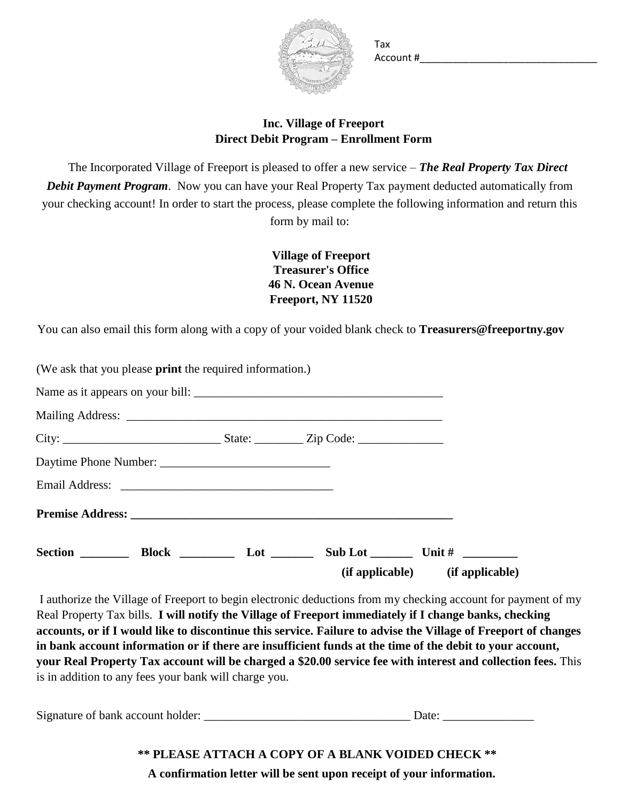

Tax Account #\_\_\_\_\_\_\_\_\_\_\_\_\_\_\_\_\_\_\_\_\_\_\_\_\_\_\_\_\_\_\_\_

## **Inc. Village of Freeport Direct Debit Program – Enrollment Form**

The Incorporated Village of Freeport is pleased to offer a new service – *The Real Property Tax Direct Debit Payment Program*. Now you can have your Real Property Tax payment deducted automatically from your checking account! In order to start the process, please complete the following information and return this form by mail to:

> **Village of Freeport Treasurer's Office 46 N. Ocean Avenue Freeport, NY 11520**

You can also email this form along with a copy of your voided blank check to **Treasurers@freeportny.gov**

| (We ask that you please <b>print</b> the required information.) |  |                                 |
|-----------------------------------------------------------------|--|---------------------------------|
|                                                                 |  |                                 |
|                                                                 |  |                                 |
|                                                                 |  |                                 |
|                                                                 |  |                                 |
|                                                                 |  |                                 |
|                                                                 |  |                                 |
| Section Block Lot                                               |  | (if applicable) (if applicable) |

I authorize the Village of Freeport to begin electronic deductions from my checking account for payment of my Real Property Tax bills. **I will notify the Village of Freeport immediately if I change banks, checking accounts, or if I would like to discontinue this service. Failure to advise the Village of Freeport of changes in bank account information or if there are insufficient funds at the time of the debit to your account, your Real Property Tax account will be charged a \$20.00 service fee with interest and collection fees.** This is in addition to any fees your bank will charge you.

Signature of bank account holder:  $\Box$  Date:  $\Box$ 

**\*\* PLEASE ATTACH A COPY OF A BLANK VOIDED CHECK \*\* A confirmation letter will be sent upon receipt of your information.**